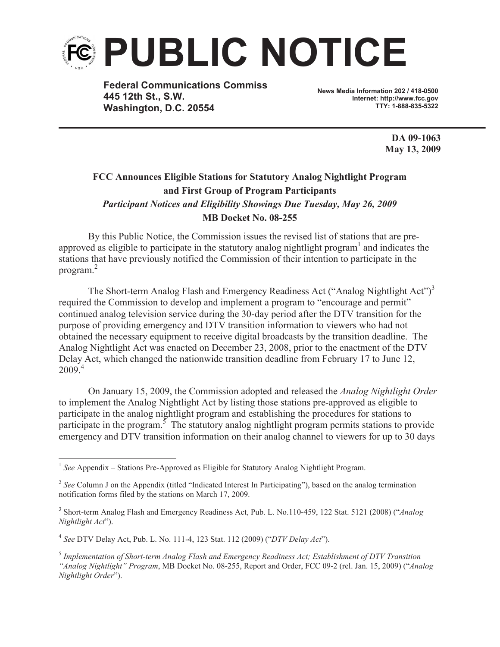

**Federal Communications Commiss 445 12th St., S.W. Washington, D.C. 20554**

**News Media Information 202 / 418-0500 Internet: http://www.fcc.gov TTY: 1-888-835-5322**

> **DA 09-1063 May 13, 2009**

# **FCC Announces Eligible Stations for Statutory Analog Nightlight Program and First Group of Program Participants** *Participant Notices and Eligibility Showings Due Tuesday, May 26, 2009* **MB Docket No. 08-255**

By this Public Notice, the Commission issues the revised list of stations that are preapproved as eligible to participate in the statutory analog nightlight program $<sup>1</sup>$  and indicates the</sup> stations that have previously notified the Commission of their intention to participate in the program. 2

The Short-term Analog Flash and Emergency Readiness Act ("Analog Nightlight Act")<sup>3</sup> required the Commission to develop and implement a program to "encourage and permit" continued analog television service during the 30-day period after the DTV transition for the purpose of providing emergency and DTV transition information to viewers who had not obtained the necessary equipment to receive digital broadcasts by the transition deadline. The Analog Nightlight Act was enacted on December 23, 2008, prior to the enactment of the DTV Delay Act, which changed the nationwide transition deadline from February 17 to June 12,  $2009^{4}$ 

On January 15, 2009, the Commission adopted and released the *Analog Nightlight Order* to implement the Analog Nightlight Act by listing those stations pre-approved as eligible to participate in the analog nightlight program and establishing the procedures for stations to participate in the program.<sup>5</sup> The statutory analog nightlight program permits stations to provide emergency and DTV transition information on their analog channel to viewers for up to 30 days

4 *See* DTV Delay Act, Pub. L. No. 111-4, 123 Stat. 112 (2009) ("*DTV Delay Act*").

<sup>&</sup>lt;sup>1</sup> See Appendix – Stations Pre-Approved as Eligible for Statutory Analog Nightlight Program.

<sup>&</sup>lt;sup>2</sup> See Column J on the Appendix (titled "Indicated Interest In Participating"), based on the analog termination notification forms filed by the stations on March 17, 2009.

<sup>3</sup> Short-term Analog Flash and Emergency Readiness Act, Pub. L. No.110-459, 122 Stat. 5121 (2008) ("*Analog Nightlight Act*").

<sup>5</sup> *Implementation of Short-term Analog Flash and Emergency Readiness Act; Establishment of DTV Transition "Analog Nightlight" Program*, MB Docket No. 08-255, Report and Order, FCC 09-2 (rel. Jan. 15, 2009) ("*Analog Nightlight Order*").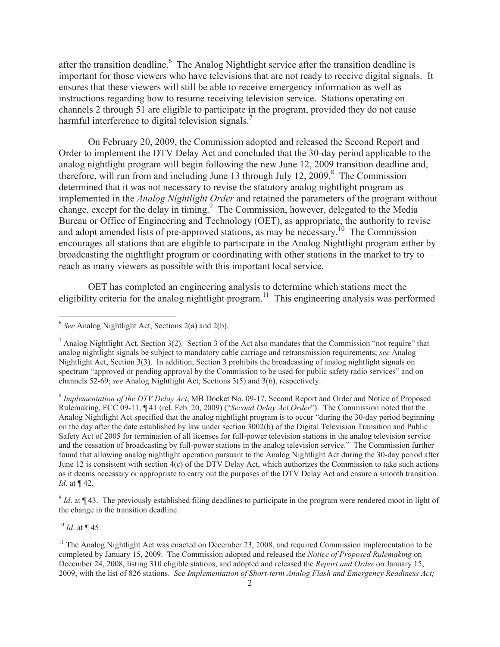after the transition deadline. <sup>6</sup> The Analog Nightlight service after the transition deadline is important for those viewers who have televisions that are not ready to receive digital signals. It ensures that these viewers will still be able to receive emergency information as well as instructions regarding how to resume receiving television service. Stations operating on channels 2 through 51 are eligible to participate in the program, provided they do not cause harmful interference to digital television signals.<sup>7</sup>

On February 20, 2009, the Commission adopted and released the Second Report and Order to implement the DTV Delay Act and concluded that the 30-day period applicable to the analog nightlight program will begin following the new June 12, 2009 transition deadline and, therefore, will run from and including June 13 through July 12, 2009.<sup>8</sup> The Commission determined that it was not necessary to revise the statutory analog nightlight program as implemented in the *Analog Nightlight Order* and retained the parameters of the program without change, except for the delay in timing.<sup>9</sup> The Commission, however, delegated to the Media Bureau or Office of Engineering and Technology (OET), as appropriate, the authority to revise and adopt amended lists of pre-approved stations, as may be necessary.<sup>10</sup> The Commission encourages all stations that are eligible to participate in the Analog Nightlight program either by broadcasting the nightlight program or coordinating with other stations in the market to try to reach as many viewers as possible with this important local service.

OET has completed an engineering analysis to determine which stations meet the eligibility criteria for the analog nightlight program.<sup>11</sup> This engineering analysis was performed

8 *Implementation of the DTV Delay Act*, MB Docket No. 09-17, Second Report and Order and Notice of Proposed Rulemaking, FCC 09-11, ¶ 41 (rel. Feb. 20, 2009) ("*Second Delay Act Order*"). The Commission noted that the Analog Nightlight Act specified that the analog nightlight program is to occur "during the 30-day period beginning on the day after the date established by law under section 3002(b) of the Digital Television Transition and Public Safety Act of 2005 for termination of all licenses for full-power television stations in the analog television service and the cessation of broadcasting by full-power stations in the analog television service." The Commission further found that allowing analog nightlight operation pursuant to the Analog Nightlight Act during the 30-day period after June 12 is consistent with section 4(c) of the DTV Delay Act, which authorizes the Commission to take such actions as it deems necessary or appropriate to carry out the purposes of the DTV Delay Act and ensure a smooth transition. *Id*. at ¶ 42.

 $\int^9 I d$ . at ¶ 43. The previously established filing deadlines to participate in the program were rendered moot in light of the change in the transition deadline.

 $^{10}$  *Id*. at ¶ 45.

<sup>6</sup> *See* Analog Nightlight Act, Sections 2(a) and 2(b).

<sup>&</sup>lt;sup>7</sup> Analog Nightlight Act, Section 3(2). Section 3 of the Act also mandates that the Commission "not require" that analog nightlight signals be subject to mandatory cable carriage and retransmission requirements; *see* Analog Nightlight Act, Section 3(3). In addition, Section 3 prohibits the broadcasting of analog nightlight signals on spectrum "approved or pending approval by the Commission to be used for public safety radio services" and on channels 52-69; *see* Analog Nightlight Act, Sections 3(5) and 3(6), respectively.

 $11$  The Analog Nightlight Act was enacted on December 23, 2008, and required Commission implementation to be completed by January 15, 2009. The Commission adopted and released the *Notice of Proposed Rulemaking* on December 24, 2008, listing 310 eligible stations, and adopted and released the *Report and Order* on January 15, 2009, with the list of 826 stations. *See Implementation of Short-term Analog Flash and Emergency Readiness Act;*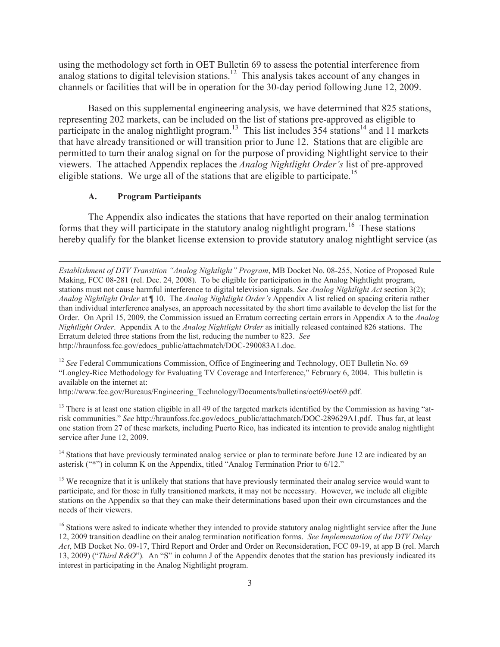using the methodology set forth in OET Bulletin 69 to assess the potential interference from analog stations to digital television stations.<sup>12</sup> This analysis takes account of any changes in channels or facilities that will be in operation for the 30-day period following June 12, 2009.

Based on this supplemental engineering analysis, we have determined that 825 stations, representing 202 markets, can be included on the list of stations pre-approved as eligible to participate in the analog nightlight program.<sup>13</sup> This list includes 354 stations<sup>14</sup> and 11 markets that have already transitioned or will transition prior to June 12. Stations that are eligible are permitted to turn their analog signal on for the purpose of providing Nightlight service to their viewers. The attached Appendix replaces the *Analog Nightlight Order's* list of pre-approved eligible stations. We urge all of the stations that are eligible to participate.<sup>15</sup>

#### **A. Program Participants**

The Appendix also indicates the stations that have reported on their analog termination forms that they will participate in the statutory analog nightlight program.<sup>16</sup> These stations hereby qualify for the blanket license extension to provide statutory analog nightlight service (as

<sup>12</sup> See Federal Communications Commission, Office of Engineering and Technology, OET Bulletin No. 69 "Longley-Rice Methodology for Evaluating TV Coverage and Interference," February 6, 2004. This bulletin is available on the internet at:

http://www.fcc.gov/Bureaus/Engineering\_Technology/Documents/bulletins/oet69/oet69.pdf.

 $13$  There is at least one station eligible in all 49 of the targeted markets identified by the Commission as having "atrisk communities." *See* http://hraunfoss.fcc.gov/edocs\_public/attachmatch/DOC-289629A1.pdf. Thus far, at least one station from 27 of these markets, including Puerto Rico, has indicated its intention to provide analog nightlight service after June 12, 2009.

<sup>14</sup> Stations that have previously terminated analog service or plan to terminate before June 12 are indicated by an asterisk ("\*") in column K on the Appendix, titled "Analog Termination Prior to 6/12."

<sup>15</sup> We recognize that it is unlikely that stations that have previously terminated their analog service would want to participate, and for those in fully transitioned markets, it may not be necessary. However, we include all eligible stations on the Appendix so that they can make their determinations based upon their own circumstances and the needs of their viewers.

*Establishment of DTV Transition "Analog Nightlight" Program*, MB Docket No. 08-255, Notice of Proposed Rule Making, FCC 08-281 (rel. Dec. 24, 2008). To be eligible for participation in the Analog Nightlight program, stations must not cause harmful interference to digital television signals. *See Analog Nightlight Act* section 3(2); *Analog Nightlight Order* at ¶ 10. The *Analog Nightlight Order's* Appendix A list relied on spacing criteria rather than individual interference analyses, an approach necessitated by the short time available to develop the list for the Order. On April 15, 2009, the Commission issued an Erratum correcting certain errors in Appendix A to the *Analog Nightlight Order*. Appendix A to the *Analog Nightlight Order* as initially released contained 826 stations. The Erratum deleted three stations from the list, reducing the number to 823. *See* http://hraunfoss.fcc.gov/edocs\_public/attachmatch/DOC-290083A1.doc.

<sup>&</sup>lt;sup>16</sup> Stations were asked to indicate whether they intended to provide statutory analog nightlight service after the June 12, 2009 transition deadline on their analog termination notification forms. *See Implementation of the DTV Delay Act*, MB Docket No. 09-17, Third Report and Order and Order on Reconsideration, FCC 09-19, at app B (rel. March 13, 2009) ("*Third R&O*")*.* An "S" in column J of the Appendix denotes that the station has previously indicated its interest in participating in the Analog Nightlight program.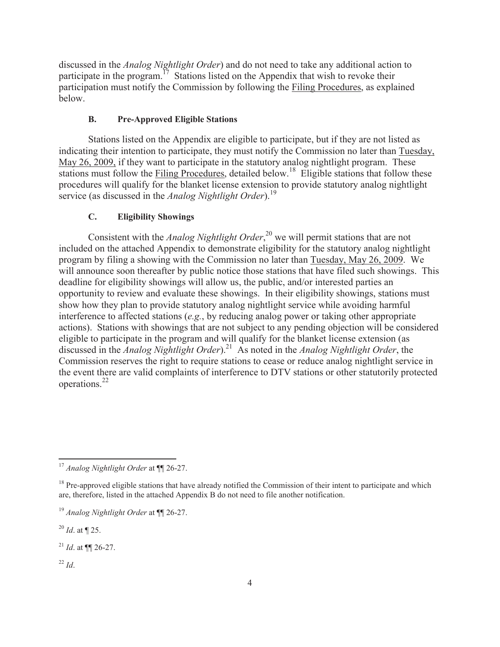discussed in the *Analog Nightlight Order*) and do not need to take any additional action to participate in the program.<sup>17</sup> Stations listed on the Appendix that wish to revoke their participation must notify the Commission by following the Filing Procedures, as explained below.

### **B. Pre-Approved Eligible Stations**

Stations listed on the Appendix are eligible to participate, but if they are not listed as indicating their intention to participate, they must notify the Commission no later than Tuesday, May 26, 2009, if they want to participate in the statutory analog nightlight program. These stations must follow the Filing Procedures, detailed below.<sup>18</sup> Eligible stations that follow these procedures will qualify for the blanket license extension to provide statutory analog nightlight service (as discussed in the *Analog Nightlight Order*).<sup>19</sup>

### **C. Eligibility Showings**

Consistent with the *Analog Nightlight Order*, <sup>20</sup> we will permit stations that are not included on the attached Appendix to demonstrate eligibility for the statutory analog nightlight program by filing a showing with the Commission no later than Tuesday, May 26, 2009. We will announce soon thereafter by public notice those stations that have filed such showings. This deadline for eligibility showings will allow us, the public, and/or interested parties an opportunity to review and evaluate these showings. In their eligibility showings, stations must show how they plan to provide statutory analog nightlight service while avoiding harmful interference to affected stations (*e.g.*, by reducing analog power or taking other appropriate actions). Stations with showings that are not subject to any pending objection will be considered eligible to participate in the program and will qualify for the blanket license extension (as discussed in the *Analog Nightlight Order*).<sup>21</sup> As noted in the *Analog Nightlight Order*, the Commission reserves the right to require stations to cease or reduce analog nightlight service in the event there are valid complaints of interference to DTV stations or other statutorily protected operations.<sup>22</sup>

<sup>20</sup> *Id*. at ¶ 25.

<sup>21</sup> *Id*. at ¶¶ 26-27.

 $^{22}$  *Id*.

<sup>17</sup> *Analog Nightlight Order* at ¶¶ 26-27.

<sup>&</sup>lt;sup>18</sup> Pre-approved eligible stations that have already notified the Commission of their intent to participate and which are, therefore, listed in the attached Appendix B do not need to file another notification.

<sup>19</sup> *Analog Nightlight Order* at ¶¶ 26-27.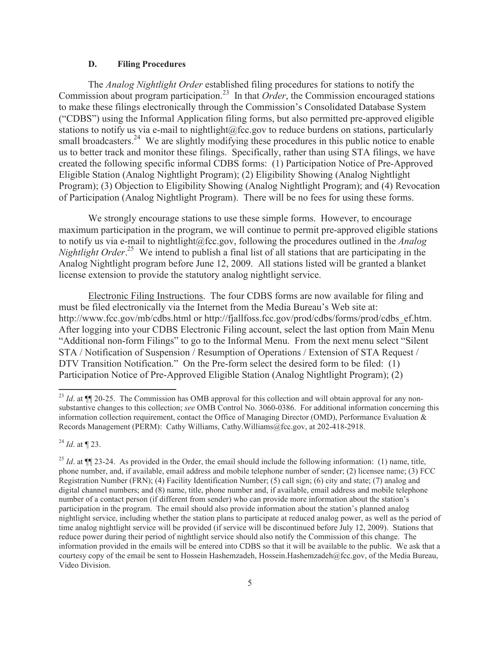#### **D. Filing Procedures**

The *Analog Nightlight Order* established filing procedures for stations to notify the Commission about program participation.<sup>23</sup> In that *Order*, the Commission encouraged stations to make these filings electronically through the Commission's Consolidated Database System ("CDBS") using the Informal Application filing forms, but also permitted pre-approved eligible stations to notify us via e-mail to nightlight@fcc.gov to reduce burdens on stations, particularly small broadcasters.<sup>24</sup> We are slightly modifying these procedures in this public notice to enable us to better track and monitor these filings. Specifically, rather than using STA filings, we have created the following specific informal CDBS forms: (1) Participation Notice of Pre-Approved Eligible Station (Analog Nightlight Program); (2) Eligibility Showing (Analog Nightlight Program); (3) Objection to Eligibility Showing (Analog Nightlight Program); and (4) Revocation of Participation (Analog Nightlight Program). There will be no fees for using these forms.

We strongly encourage stations to use these simple forms. However, to encourage maximum participation in the program, we will continue to permit pre-approved eligible stations to notify us via e-mail to nightlight@fcc.gov, following the procedures outlined in the *Analog Nightlight Order*. <sup>25</sup> We intend to publish a final list of all stations that are participating in the Analog Nightlight program before June 12, 2009. All stations listed will be granted a blanket license extension to provide the statutory analog nightlight service.

Electronic Filing Instructions. The four CDBS forms are now available for filing and must be filed electronically via the Internet from the Media Bureau's Web site at: http://www.fcc.gov/mb/cdbs.html or http://fjallfoss.fcc.gov/prod/cdbs/forms/prod/cdbs\_ef.htm. After logging into your CDBS Electronic Filing account, select the last option from Main Menu "Additional non-form Filings" to go to the Informal Menu. From the next menu select "Silent STA / Notification of Suspension / Resumption of Operations / Extension of STA Request / DTV Transition Notification." On the Pre-form select the desired form to be filed: (1) Participation Notice of Pre-Approved Eligible Station (Analog Nightlight Program); (2)

<sup>24</sup> *Id*. at ¶ 23.

<sup>&</sup>lt;sup>23</sup> *Id.* at ¶ 20-25. The Commission has OMB approval for this collection and will obtain approval for any nonsubstantive changes to this collection; *see* OMB Control No. 3060-0386. For additional information concerning this information collection requirement, contact the Office of Managing Director (OMD), Performance Evaluation & Records Management (PERM): Cathy Williams, Cathy.Williams@fcc.gov, at 202-418-2918.

<sup>&</sup>lt;sup>25</sup> *Id.* at  $\P$  23-24. As provided in the Order, the email should include the following information: (1) name, title, phone number, and, if available, email address and mobile telephone number of sender; (2) licensee name; (3) FCC Registration Number (FRN); (4) Facility Identification Number; (5) call sign; (6) city and state; (7) analog and digital channel numbers; and (8) name, title, phone number and, if available, email address and mobile telephone number of a contact person (if different from sender) who can provide more information about the station's participation in the program. The email should also provide information about the station's planned analog nightlight service, including whether the station plans to participate at reduced analog power, as well as the period of time analog nightlight service will be provided (if service will be discontinued before July 12, 2009). Stations that reduce power during their period of nightlight service should also notify the Commission of this change. The information provided in the emails will be entered into CDBS so that it will be available to the public. We ask that a courtesy copy of the email be sent to Hossein Hashemzadeh, Hossein.Hashemzadeh@fcc.gov, of the Media Bureau, Video Division.